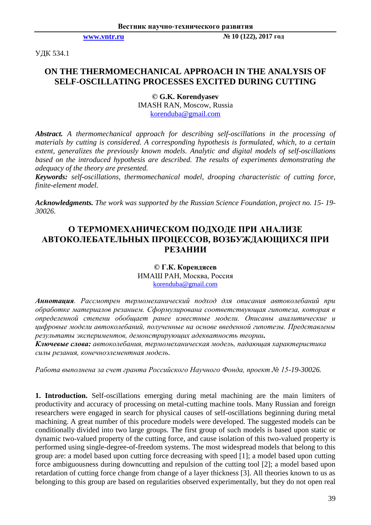**[www.vntr.ru](http://www.vntr.ru/) № 10 (122), 2017 год**

УДК 534.1

# **ON THE THERMOMECHANICAL APPROACH IN THE ANALYSIS OF SELF-OSCILLATING PROCESSES EXCITED DURING CUTTING**

**© G.K. Korendyasev** IMASH RAN, Moscow, Russia korenduba@gmail.com

*Abstract. A thermomechanical approach for describing self-oscillations in the processing of materials by cutting is considered. A corresponding hypothesis is formulated, which, to a certain extent, generalizes the previously known models. Analytic and digital models of self-oscillations based on the introduced hypothesis are described. The results of experiments demonstrating the adequacy of the theory are presented.*

*Keywords: self-oscillations, thermomechanical model, drooping characteristic of cutting force, finite-element model.*

*Acknowledgments. The work was supported by the Russian Science Foundation, project no. 15- 19- 30026.*

## **O ТЕРМОМЕХАНИЧЕСКОМ ПОДХОДЕ ПРИ АНАЛИЗЕ АВТОКОЛЕБАТЕЛЬНЫХ ПРОЦЕССОВ, ВОЗБУЖДАЮЩИХСЯ ПРИ РЕЗАНИИ**

**© Г.К. Корендясев** ИМАШ РАН, Москва, Россия korenduba@gmail.com

*Аннотация. Рассмотрен термомеханический подход для описания автоколебаний при обработке материалов резанием. Сформулирована соответствующая гипотеза, которая в определенной степени обобщает ранее известные модели. Описаны аналитические и цифровые модели автоколебаний, полученные на основе введенной гипотезы. Представлены результаты экспериментов, демонстрирующих адекватность теории.*

*Ключевые слова: автоколебания, термомеханическая модель, падающая характеристика силы резания, конечноэлементная модель.*

*Работа выполнена за счет гранта Российского Научного Фонда, проект № 15-19-30026.*

**1. Introduction.** Self-oscillations emerging during metal machining are the main limiters of productivity and accuracy of processing on metal-cutting machine tools. Many Russian and foreign researchers were engaged in search for physical causes of self-oscillations beginning during metal machining. A great number of this procedure models were developed. The suggested models can be conditionally divided into two large groups. The first group of such models is based upon static or dynamic two-valued property of the cutting force, and cause isolation of this two-valued property is performed using single-degree-of-freedom systems. The most widespread models that belong to this group are: a model based upon cutting force decreasing with speed [1]; a model based upon cutting force ambiguousness during downcutting and repulsion of the cutting tool [2]; a model based upon retardation of cutting force change from change of a layer thickness [3]. All theories known to us as belonging to this group are based on regularities observed experimentally, but they do not open real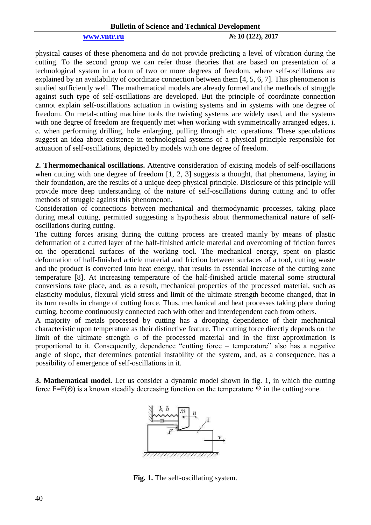### **[www.vntr.ru](http://www.vntr.ru/) № 10 (122), 2017**

physical causes of these phenomena and do not provide predicting a level of vibration during the cutting. To the second group we can refer those theories that are based on presentation of a technological system in a form of two or more degrees of freedom, where self-oscillations are explained by an availability of coordinate connection between them [4, 5, 6, 7]. This phenomenon is studied sufficiently well. The mathematical models are already formed and the methods of struggle against such type of self-oscillations are developed. But the principle of coordinate connection cannot explain self-oscillations actuation in twisting systems and in systems with one degree of freedom. On metal-cutting machine tools the twisting systems are widely used, and the systems with one degree of freedom are frequently met when working with symmetrically arranged edges, i. е. when performing drilling, hole enlarging, pulling through etc. operations. These speculations suggest an idea about existence in technological systems of a physical principle responsible for actuation of self-oscillations, depicted by models with one degree of freedom.

**2. Thermomechanical oscillations.** Attentive consideration of existing models of self-oscillations when cutting with one degree of freedom [1, 2, 3] suggests a thought, that phenomena, laying in their foundation, are the results of a unique deep physical principle. Disclosure of this principle will provide more deep understanding of the nature of self-oscillations during cutting and to offer methods of struggle against this phenomenon.

Consideration of connections between mechanical and thermodynamic processes, taking place during metal cutting, permitted suggesting a hypothesis about thermomechanical nature of selfoscillations during cutting.

The cutting forces arising during the cutting process are created mainly by means of plastic deformation of a cutted layer of the half-finished article material and overcoming of friction forces on the operational surfaces of the working tool. The mechanical energy, spent on plastic deformation of half-finished article material and friction between surfaces of a tool, cutting waste and the product is converted into heat energy, that results in essential increase of the cutting zone temperature [8]. At increasing temperature of the half-finished article material some structural conversions take place, and, as a result, mechanical properties of the processed material, such as elasticity modulus, flexural yield stress and limit of the ultimate strength become changed, that in its turn results in change of cutting force. Thus, mechanical and heat processes taking place during cutting, become continuously connected each with other and interdependent each from others.

A majority of metals processed by cutting has a drooping dependence of their mechanical characteristic upon temperature as their distinctive feature. The cutting force directly depends on the limit of the ultimate strength  $\sigma$  of the processed material and in the first approximation is proportional to it. Consequently, dependence "cutting force – temperature" also has a negative angle of slope, that determines potential instability of the system, and, as a consequence, has a possibility of emergence of self-oscillations in it.

**3. Mathematical model.** Let us consider a dynamic model shown in fig. 1, in which the cutting force F=F( $\Theta$ ) is a known steadily decreasing function on the temperature  $\Theta$  in the cutting zone.



**Fig. 1.** The self-oscillating system.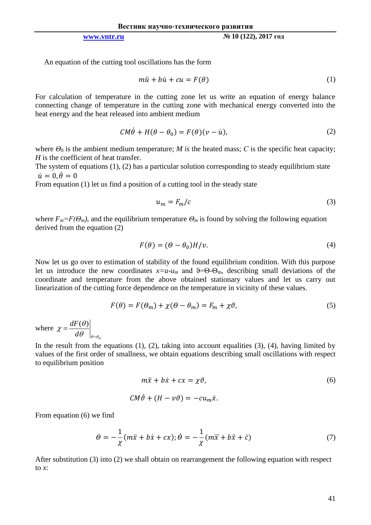**[www.vntr.ru](http://www.vntr.ru/) № 10 (122), 2017 год**

An equation of the cutting tool oscillations has the form

$$
m\ddot{u} + b\dot{u} + cu = F(\theta) \tag{1}
$$

For calculation of temperature in the cutting zone let us write an equation of energy balance connecting change of temperature in the cutting zone with mechanical energy converted into the heat energy and the heat released into ambient medium

$$
CM\dot{\theta} + H(\theta - \theta_0) = F(\theta)(v - \dot{u}),
$$
\n(2)

where  $\Theta_0$  is the ambient medium temperature; *M* is the heated mass; *C* is the specific heat capacity; *H* is the coefficient of heat transfer.

The system of equations (1), (2) has a particular solution corresponding to steady equilibrium state  $\dot{u} = 0, \dot{\theta} = 0$ 

From equation (1) let us find a position of a cutting tool in the steady state

$$
u_m = F_m/c \tag{3}
$$

where  $F_m = F(\Theta_m)$ , and the equilibrium temperature  $\Theta_m$  is found by solving the following equation derived from the equation (2)

$$
F(\theta) = (\theta - \theta_0)H/v.
$$
\n(4)

Now let us go over to estimation of stability of the found equilibrium condition. With this purpose let us introduce the new coordinates  $x=u-u_m$  and  $\theta=0$ - $\Theta_m$ , describing small deviations of the coordinate and temperature from the above obtained stationary values and let us carry out linearization of the cutting force dependence on the temperature in vicinity of these values.

$$
F(\theta) = F(\theta_m) + \chi(\theta - \theta_m) = F_m + \chi\vartheta,\tag{5}
$$

where  $d\theta$   $\big|_{\theta = \theta_m}$ *dF*  $\theta\,\,\mid_{\theta=\theta}$  $\theta$ χ =  $=\frac{dF(\theta)}{dt}$ 

In the result from the equations  $(1)$ ,  $(2)$ , taking into account equalities  $(3)$ ,  $(4)$ , having limited by values of the first order of smallness, we obtain equations describing small oscillations with respect to equilibrium position

$$
m\ddot{x} + b\dot{x} + cx = \chi \vartheta,\tag{6}
$$

$$
CM\dot{\vartheta} + (H - v\vartheta) = -cu_m\dot{x}.
$$

From equation (6) we find

$$
\Theta = -\frac{1}{\chi}(m\ddot{x} + b\dot{x} + cx); \dot{\Theta} = -\frac{1}{\chi}(m\ddot{x} + b\ddot{x} + \dot{c})
$$
\n(7)

After substitution (3) into (2) we shall obtain on rearrangement the following equation with respect to *x*: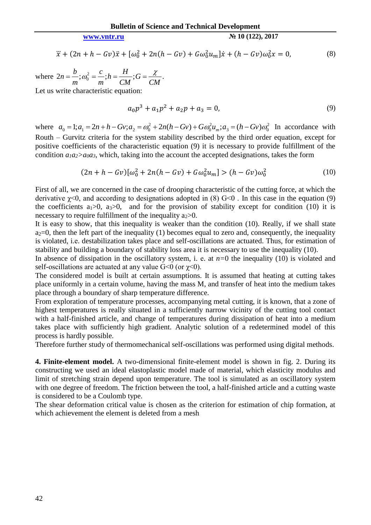## **[www.vntr.ru](http://www.vntr.ru/) № 10 (122), 2017**

$$
\ddot{x} + (2n + h - Gv)\ddot{x} + [\omega_0^2 + 2n(h - Gv) + G\omega_0^2 u_m]\dot{x} + (h - Gv)\omega_0^2 x = 0,
$$
\n(8)

where  $2n = \frac{b}{n}$ ;  $\omega_0^2 = \frac{c}{n}$ ;  $h = \frac{11}{n}$ ;  $G = \frac{\lambda}{n}$ .  $C_0$ <sup>-</sup>  $m$ <sup>''</sup><sup>-</sup> CM<sup>'</sup><sup>-</sup> CM<sup>'</sup> *G CM*  $h = \frac{H}{a}$ *m c m*  $n = \frac{b}{a}$ ;  $\omega_0^2 = \frac{c}{b}$ ;  $h = \frac{H}{a}$ ;  $G = \frac{\chi}{a}$ Let us write characteristic equation:

 $a_0 p^3 + a_1 p^2 + a_2 p + a_3 = 0,$  (9)

where  $a_0 = 1; a_1 = 2n + h - Gv; a_2 = \omega_0^2 + 2n(h - Gv) + G\omega_0^2 u_m; a_3 = (h - Gv)\omega_0^2$  $3 - (n - \sigma v)\omega_0$ 2  $\mathcal{O}$  $a_0 = 1; a_1 = 2n + h - Gv; a_2 = \omega_0^2 + 2n(h - Gv) + G\omega_0^2 u_m; a_3 = (h - Gv)\omega_0^2$  In accordance with Routh – Gurvitz criteria for the system stability described by the third order equation, except for positive coefficients of the characteristic equation (9) it is necessary to provide fulfillment of the condition  $a_1a_2>a_0a_3$ , which, taking into the account the accepted designations, takes the form

$$
(2n + h - Gv)[\omega_0^2 + 2n(h - Gv) + G\omega_0^2 u_m] > (h - Gv)\omega_0^2
$$
\n(10)

First of all, we are concerned in the case of drooping characteristic of the cutting force, at which the derivative  $\chi$ <0, and according to designations adopted in (8) G<0. In this case in the equation (9) the coefficients  $a_1>0$ ,  $a_3>0$ , and for the provision of stability except for condition (10) it is necessary to require fulfillment of the inequality  $a_2>0$ .

It is easy to show, that this inequality is weaker than the condition (10). Really, if we shall state  $a_2=0$ , then the left part of the inequality (1) becomes equal to zero and, consequently, the inequality is violated, i.е. destabilization takes place and self-oscillations are actuated. Thus, for estimation of stability and building a boundary of stability loss area it is necessary to use the inequality (10).

In absence of dissipation in the oscillatory system, i. е. at *n=*0 the inequality (10) is violated and self-oscillations are actuated at any value  $G<0$  (or  $\chi<0$ ).

The considered model is built at certain assumptions. It is assumed that heating at cutting takes place uniformly in a certain volume, having the mass M, and transfer of heat into the medium takes place through a boundary of sharp temperature difference.

From exploration of temperature processes, accompanying metal cutting, it is known, that a zone of highest temperatures is really situated in a sufficiently narrow vicinity of the cutting tool contact with a half-finished article, and change of temperatures during dissipation of heat into a medium takes place with sufficiently high gradient. Analytic solution of a redetermined model of this process is hardly possible.

Therefore further study of thermomechanical self-oscillations was performed using digital methods.

**4. Finite-element model.** A two-dimensional finite-element model is shown in fig. 2. During its constructing we used an ideal elastoplastic model made of material, which elasticity modulus and limit of stretching strain depend upon temperature. The tool is simulated as an oscillatory system with one degree of freedom. The friction between the tool, a half-finished article and a cutting waste is considered to be a Coulomb type.

The shear deformation critical value is chosen as the criterion for estimation of chip formation, at which achievement the element is deleted from a mesh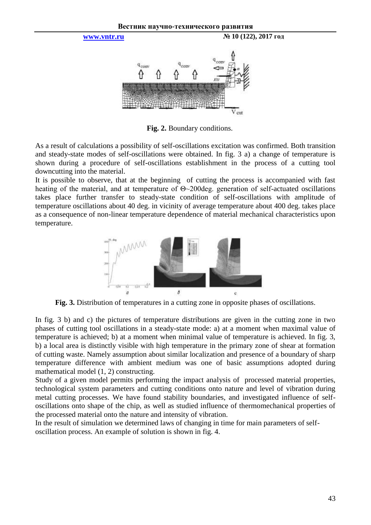

**Fig. 2.** Boundary conditions.

As a result of calculations a possibility of self-oscillations excitation was confirmed. Both transition and steady-state modes of self-oscillations were obtained. In fig. 3 a) а change of temperature is shown during a procedure of self-oscillations establishment in the process of a cutting tool downcutting into the material.

It is possible to observe, that at the beginning of cutting the process is accompanied with fast heating of the material, and at temperature of Θ~200deg. generation of self-actuated oscillations takes place further transfer to steady-state condition of self-oscillations with amplitude of temperature oscillations about 40 deg. in vicinity of average temperature about 400 deg. takes place as a consequence of non-linear temperature dependence of material mechanical characteristics upon temperature.



**Fig. 3.** Distribution of temperatures in a cutting zone in opposite phases of oscillations.

In fig. 3 b) and c) the pictures of temperature distributions are given in the cutting zone in two phases of cutting tool oscillations in a steady-state mode: а) at a moment when maximal value of temperature is achieved; b) at a moment when minimal value of temperature is achieved. In fig. 3, b) a local area is distinctly visible with high temperature in the primary zone of shear at formation of cutting waste. Namely assumption about similar localization and presence of a boundary of sharp temperature difference with ambient medium was one of basic assumptions adopted during mathematical model (1, 2) constructing.

Study of a given model permits performing the impact analysis of processed material properties, technological system parameters and cutting conditions onto nature and level of vibration during metal cutting processes. We have found stability boundaries, and investigated influence of selfoscillations onto shape of the chip, as well as studied influence of thermomechanical properties of the processed material onto the nature and intensity of vibration.

In the result of simulation we determined laws of changing in time for main parameters of selfoscillation process. An example of solution is shown in fig. 4.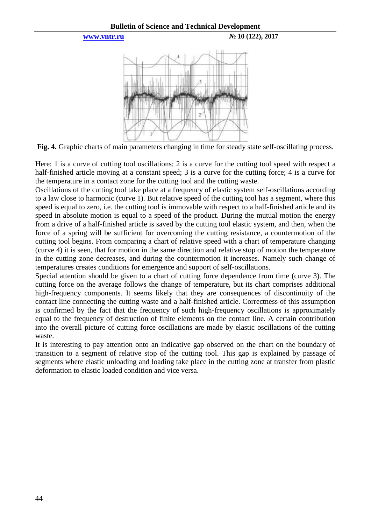



**Fig. 4.** Graphic charts of main parameters changing in time for steady state self-oscillating process.

Here: 1 is a curve of cutting tool oscillations; 2 is a curve for the cutting tool speed with respect a half-finished article moving at a constant speed; 3 is a curve for the cutting force; 4 is a curve for the temperature in a contact zone for the cutting tool and the cutting waste.

Oscillations of the cutting tool take place at a frequency of elastic system self-oscillations according to a law close to harmonic (curve 1). But relative speed of the cutting tool has a segment, where this speed is equal to zero, i.e. the cutting tool is immovable with respect to a half-finished article and its speed in absolute motion is equal to a speed of the product. During the mutual motion the energy from a drive of a half-finished article is saved by the cutting tool elastic system, and then, when the force of a spring will be sufficient for overcoming the cutting resistance, a countermotion of the cutting tool begins. From comparing a chart of relative speed with a chart of temperature changing (curve 4) it is seen, that for motion in the same direction and relative stop of motion the temperature in the cutting zone decreases, and during the countermotion it increases. Namely such change of temperatures creates conditions for emergence and support of self-oscillations.

Special attention should be given to a chart of cutting force dependence from time (curve 3). The cutting force on the average follows the change of temperature, but its chart comprises additional high-frequency components. It seems likely that they are consequences of discontinuity of the contact line connecting the cutting waste and a half-finished article. Correctness of this assumption is confirmed by the fact that the frequency of such high-frequency oscillations is approximately equal to the frequency of destruction of finite elements on the contact line. A certain contribution into the overall picture of cutting force oscillations are made by elastic oscillations of the cutting waste.

It is interesting to pay attention onto an indicative gap observed on the chart on the boundary of transition to a segment of relative stop of the cutting tool. This gap is explained by passage of segments where elastic unloading and loading take place in the cutting zone at transfer from plastic deformation to elastic loaded condition and vice versa.